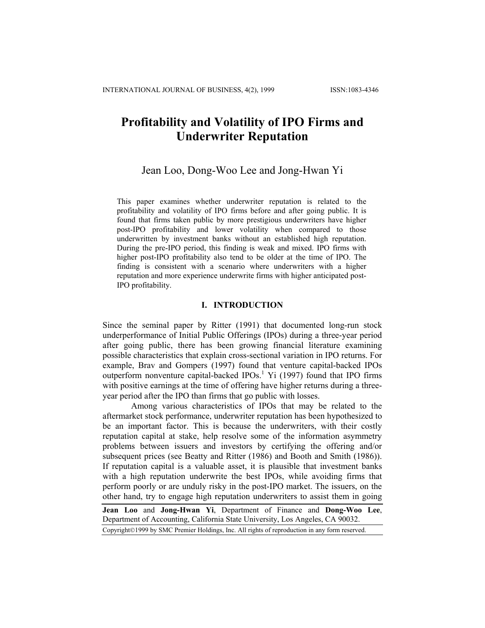# **Profitability and Volatility of IPO Firms and Underwriter Reputation**

# Jean Loo, Dong-Woo Lee and Jong-Hwan Yi

This paper examines whether underwriter reputation is related to the profitability and volatility of IPO firms before and after going public. It is found that firms taken public by more prestigious underwriters have higher post-IPO profitability and lower volatility when compared to those underwritten by investment banks without an established high reputation. During the pre-IPO period, this finding is weak and mixed. IPO firms with higher post-IPO profitability also tend to be older at the time of IPO. The finding is consistent with a scenario where underwriters with a higher reputation and more experience underwrite firms with higher anticipated post-IPO profitability.

### **I. INTRODUCTION**

Since the seminal paper by Ritter (1991) that documented long-run stock underperformance of Initial Public Offerings (IPOs) during a three-year period after going public, there has been growing financial literature examining possible characteristics that explain cross-sectional variation in IPO returns. For example, Brav and Gompers (1997) found that venture capital-backed IPOs outperform nonventure capital-backed  $IPOs<sup>1</sup>$  Yi (1997) found that IPO firms with positive earnings at the time of offering have higher returns during a threeyear period after the IPO than firms that go public with losses.

Among various characteristics of IPOs that may be related to the aftermarket stock performance, underwriter reputation has been hypothesized to be an important factor. This is because the underwriters, with their costly reputation capital at stake, help resolve some of the information asymmetry problems between issuers and investors by certifying the offering and/or subsequent prices (see Beatty and Ritter (1986) and Booth and Smith (1986)). If reputation capital is a valuable asset, it is plausible that investment banks with a high reputation underwrite the best IPOs, while avoiding firms that perform poorly or are unduly risky in the post-IPO market. The issuers, on the other hand, try to engage high reputation underwriters to assist them in going

**Jean Loo** and **Jong-Hwan Yi**, Department of Finance and **Dong-Woo Lee**, Department of Accounting, California State University, Los Angeles, CA 90032. Copyright©1999 by SMC Premier Holdings, Inc. All rights of reproduction in any form reserved.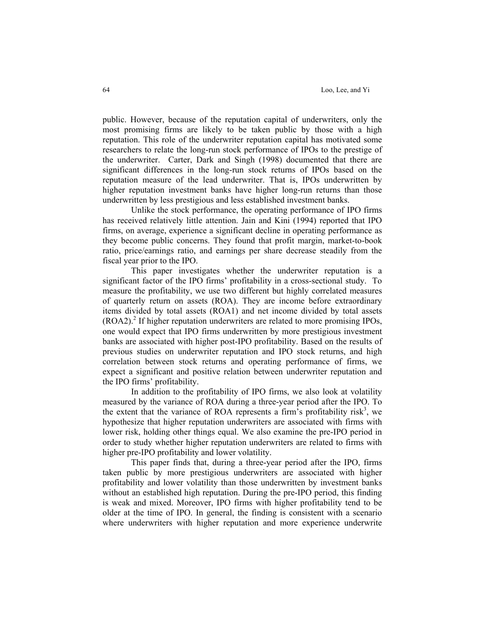public. However, because of the reputation capital of underwriters, only the most promising firms are likely to be taken public by those with a high reputation. This role of the underwriter reputation capital has motivated some researchers to relate the long-run stock performance of IPOs to the prestige of the underwriter. Carter, Dark and Singh (1998) documented that there are significant differences in the long-run stock returns of IPOs based on the reputation measure of the lead underwriter. That is, IPOs underwritten by higher reputation investment banks have higher long-run returns than those underwritten by less prestigious and less established investment banks.

Unlike the stock performance, the operating performance of IPO firms has received relatively little attention. Jain and Kini (1994) reported that IPO firms, on average, experience a significant decline in operating performance as they become public concerns. They found that profit margin, market-to-book ratio, price/earnings ratio, and earnings per share decrease steadily from the fiscal year prior to the IPO.

This paper investigates whether the underwriter reputation is a significant factor of the IPO firms' profitability in a cross-sectional study. To measure the profitability, we use two different but highly correlated measures of quarterly return on assets (ROA). They are income before extraordinary items divided by total assets (ROA1) and net income divided by total assets  $(ROA2)<sup>2</sup>$  If higher reputation underwriters are related to more promising IPOs, one would expect that IPO firms underwritten by more prestigious investment banks are associated with higher post-IPO profitability. Based on the results of previous studies on underwriter reputation and IPO stock returns, and high correlation between stock returns and operating performance of firms, we expect a significant and positive relation between underwriter reputation and the IPO firms' profitability.

In addition to the profitability of IPO firms, we also look at volatility measured by the variance of ROA during a three-year period after the IPO. To the extent that the variance of ROA represents a firm's profitability risk<sup>3</sup>, we hypothesize that higher reputation underwriters are associated with firms with lower risk, holding other things equal. We also examine the pre-IPO period in order to study whether higher reputation underwriters are related to firms with higher pre-IPO profitability and lower volatility.

This paper finds that, during a three-year period after the IPO, firms taken public by more prestigious underwriters are associated with higher profitability and lower volatility than those underwritten by investment banks without an established high reputation. During the pre-IPO period, this finding is weak and mixed. Moreover, IPO firms with higher profitability tend to be older at the time of IPO. In general, the finding is consistent with a scenario where underwriters with higher reputation and more experience underwrite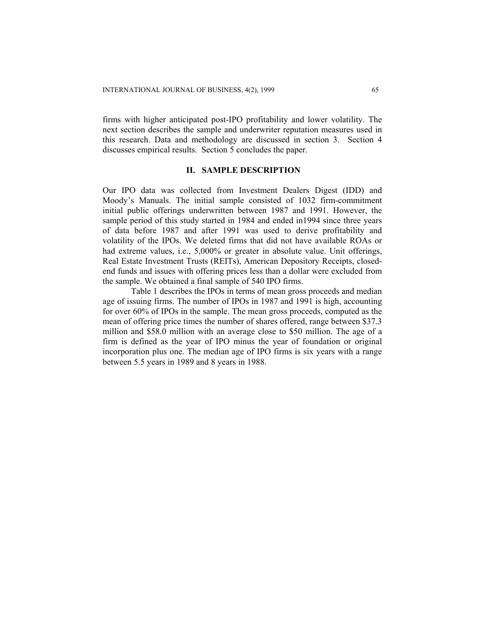firms with higher anticipated post-IPO profitability and lower volatility. The next section describes the sample and underwriter reputation measures used in this research. Data and methodology are discussed in section 3. Section 4 discusses empirical results. Section 5 concludes the paper.

# **II. SAMPLE DESCRIPTION**

Our IPO data was collected from Investment Dealers Digest (IDD) and Moody's Manuals. The initial sample consisted of 1032 firm-commitment initial public offerings underwritten between 1987 and 1991. However, the sample period of this study started in 1984 and ended in1994 since three years of data before 1987 and after 1991 was used to derive profitability and volatility of the IPOs. We deleted firms that did not have available ROAs or had extreme values, i.e., 5,000% or greater in absolute value. Unit offerings, Real Estate Investment Trusts (REITs), American Depository Receipts, closedend funds and issues with offering prices less than a dollar were excluded from the sample. We obtained a final sample of 540 IPO firms.

Table 1 describes the IPOs in terms of mean gross proceeds and median age of issuing firms. The number of IPOs in 1987 and 1991 is high, accounting for over 60% of IPOs in the sample. The mean gross proceeds, computed as the mean of offering price times the number of shares offered, range between \$37.3 million and \$58.0 million with an average close to \$50 million. The age of a firm is defined as the year of IPO minus the year of foundation or original incorporation plus one. The median age of IPO firms is six years with a range between 5.5 years in 1989 and 8 years in 1988.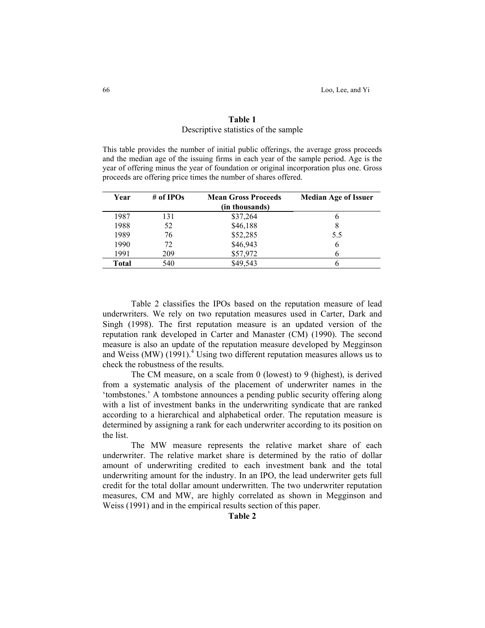# **Table 1**  Descriptive statistics of the sample

This table provides the number of initial public offerings, the average gross proceeds and the median age of the issuing firms in each year of the sample period. Age is the year of offering minus the year of foundation or original incorporation plus one. Gross proceeds are offering price times the number of shares offered.

| Year  | # of IPOs | <b>Mean Gross Proceeds</b><br>(in thousands) | <b>Median Age of Issuer</b> |
|-------|-----------|----------------------------------------------|-----------------------------|
| 1987  | 131       | \$37,264                                     |                             |
| 1988  | 52        | \$46,188                                     |                             |
| 1989  | 76        | \$52,285                                     | 5.5                         |
| 1990  | 72        | \$46,943                                     | 6                           |
| 1991  | 209       | \$57,972                                     |                             |
| Total | 540       | \$49,543                                     |                             |

Table 2 classifies the IPOs based on the reputation measure of lead underwriters. We rely on two reputation measures used in Carter, Dark and Singh (1998). The first reputation measure is an updated version of the reputation rank developed in Carter and Manaster (CM) (1990). The second measure is also an update of the reputation measure developed by Megginson and Weiss (MW) (1991).<sup>4</sup> Using two different reputation measures allows us to check the robustness of the results.

The CM measure, on a scale from 0 (lowest) to 9 (highest), is derived from a systematic analysis of the placement of underwriter names in the 'tombstones.' A tombstone announces a pending public security offering along with a list of investment banks in the underwriting syndicate that are ranked according to a hierarchical and alphabetical order. The reputation measure is determined by assigning a rank for each underwriter according to its position on the list.

The MW measure represents the relative market share of each underwriter. The relative market share is determined by the ratio of dollar amount of underwriting credited to each investment bank and the total underwriting amount for the industry. In an IPO, the lead underwriter gets full credit for the total dollar amount underwritten. The two underwriter reputation measures, CM and MW, are highly correlated as shown in Megginson and Weiss (1991) and in the empirical results section of this paper.

**Table 2**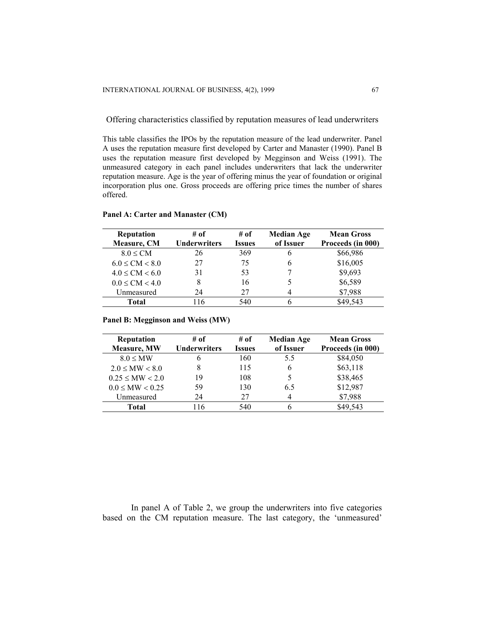Offering characteristics classified by reputation measures of lead underwriters

This table classifies the IPOs by the reputation measure of the lead underwriter. Panel A uses the reputation measure first developed by Carter and Manaster (1990). Panel B uses the reputation measure first developed by Megginson and Weiss (1991). The unmeasured category in each panel includes underwriters that lack the underwriter reputation measure. Age is the year of offering minus the year of foundation or original incorporation plus one. Gross proceeds are offering price times the number of shares offered.

| <b>Reputation</b>   | # of                | # of          | <b>Median Age</b> | <b>Mean Gross</b> |
|---------------------|---------------------|---------------|-------------------|-------------------|
| Measure, CM         | <b>Underwriters</b> | <b>Issues</b> | of Issuer         | Proceeds (in 000) |
| $8.0 \leq CM$       | 26                  | 369           | b                 | \$66,986          |
| $6.0 \leq CM < 8.0$ | 27                  | 75            |                   | \$16,005          |
| $4.0 \leq CM < 6.0$ | 31                  | 53            |                   | \$9,693           |
| $0.0 \leq CM < 4.0$ |                     | 16            |                   | \$6,589           |
| Unmeasured          | 24                  | 27            |                   | \$7,988           |
| Total               | 116                 | 540           |                   | \$49,543          |

**Panel A: Carter and Manaster (CM)** 

**Panel B: Megginson and Weiss (MW)** 

| <b>Reputation</b>     | # of                | # of          | <b>Median Age</b> | <b>Mean Gross</b> |
|-----------------------|---------------------|---------------|-------------------|-------------------|
| Measure, MW           | <b>Underwriters</b> | <b>Issues</b> | of Issuer         | Proceeds (in 000) |
| $8.0 \leq MW$         | b                   | 160           | 5.5               | \$84,050          |
| $2.0 \leq MW < 8.0$   |                     | 115           | 6                 | \$63,118          |
| $0.25 \leq M W < 2.0$ | 19                  | 108           |                   | \$38,465          |
| $0.0 \leq MW < 0.25$  | 59                  | 130           | 6.5               | \$12,987          |
| Unmeasured            | 24                  | 27            | 4                 | \$7,988           |
| Total                 | 116                 | 540           | h                 | \$49,543          |

In panel A of Table 2, we group the underwriters into five categories based on the CM reputation measure. The last category, the 'unmeasured'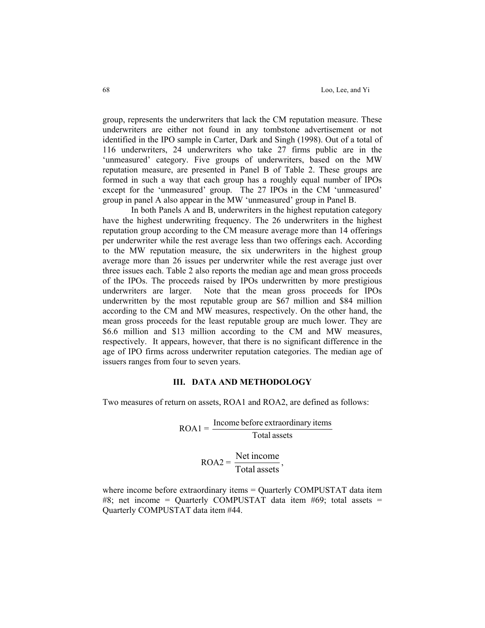group, represents the underwriters that lack the CM reputation measure. These underwriters are either not found in any tombstone advertisement or not identified in the IPO sample in Carter, Dark and Singh (1998). Out of a total of 116 underwriters, 24 underwriters who take 27 firms public are in the 'unmeasured' category. Five groups of underwriters, based on the MW reputation measure, are presented in Panel B of Table 2. These groups are formed in such a way that each group has a roughly equal number of IPOs except for the 'unmeasured' group. The 27 IPOs in the CM 'unmeasured' group in panel A also appear in the MW 'unmeasured' group in Panel B.

In both Panels A and B, underwriters in the highest reputation category have the highest underwriting frequency. The 26 underwriters in the highest reputation group according to the CM measure average more than 14 offerings per underwriter while the rest average less than two offerings each. According to the MW reputation measure, the six underwriters in the highest group average more than 26 issues per underwriter while the rest average just over three issues each. Table 2 also reports the median age and mean gross proceeds of the IPOs. The proceeds raised by IPOs underwritten by more prestigious underwriters are larger. Note that the mean gross proceeds for IPOs underwritten by the most reputable group are \$67 million and \$84 million according to the CM and MW measures, respectively. On the other hand, the mean gross proceeds for the least reputable group are much lower. They are \$6.6 million and \$13 million according to the CM and MW measures, respectively. It appears, however, that there is no significant difference in the age of IPO firms across underwriter reputation categories. The median age of issuers ranges from four to seven years.

### **III. DATA AND METHODOLOGY**

Two measures of return on assets, ROA1 and ROA2, are defined as follows:

 $ROA1 =$ Total assets Income before extraordinary items

> $ROA2 =$ Total assets Net income,

where income before extraordinary items = Quarterly COMPUSTAT data item #8; net income = Quarterly COMPUSTAT data item #69; total assets = Quarterly COMPUSTAT data item #44.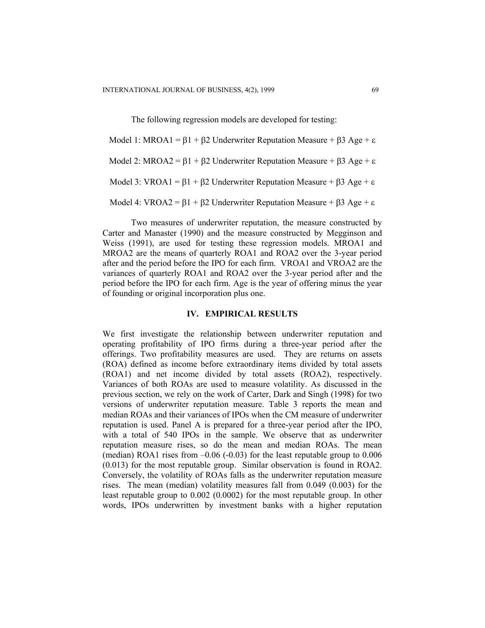The following regression models are developed for testing:

Model 1: MROA1 = β1 + β2 Underwriter Reputation Measure + β3 Age + ε Model 2: MROA2 =  $β1 + β2$  Underwriter Reputation Measure +  $β3$  Age + ε Model 3: VROA1 =  $\beta$ 1 +  $\beta$ 2 Underwriter Reputation Measure +  $\beta$ 3 Age + ε Model 4: VROA2 =  $\beta$ 1 +  $\beta$ 2 Underwriter Reputation Measure +  $\beta$ 3 Age + ε

Two measures of underwriter reputation, the measure constructed by Carter and Manaster (1990) and the measure constructed by Megginson and Weiss (1991), are used for testing these regression models. MROA1 and MROA2 are the means of quarterly ROA1 and ROA2 over the 3-year period after and the period before the IPO for each firm. VROA1 and VROA2 are the variances of quarterly ROA1 and ROA2 over the 3-year period after and the period before the IPO for each firm. Age is the year of offering minus the year of founding or original incorporation plus one.

## **IV. EMPIRICAL RESULTS**

We first investigate the relationship between underwriter reputation and operating profitability of IPO firms during a three-year period after the offerings. Two profitability measures are used. They are returns on assets (ROA) defined as income before extraordinary items divided by total assets (ROA1) and net income divided by total assets (ROA2), respectively. Variances of both ROAs are used to measure volatility. As discussed in the previous section, we rely on the work of Carter, Dark and Singh (1998) for two versions of underwriter reputation measure. Table 3 reports the mean and median ROAs and their variances of IPOs when the CM measure of underwriter reputation is used. Panel A is prepared for a three-year period after the IPO, with a total of 540 IPOs in the sample. We observe that as underwriter reputation measure rises, so do the mean and median ROAs. The mean (median) ROA1 rises from  $-0.06$  ( $-0.03$ ) for the least reputable group to  $0.006$ (0.013) for the most reputable group. Similar observation is found in ROA2. Conversely, the volatility of ROAs falls as the underwriter reputation measure rises. The mean (median) volatility measures fall from 0.049 (0.003) for the least reputable group to 0.002 (0.0002) for the most reputable group. In other words, IPOs underwritten by investment banks with a higher reputation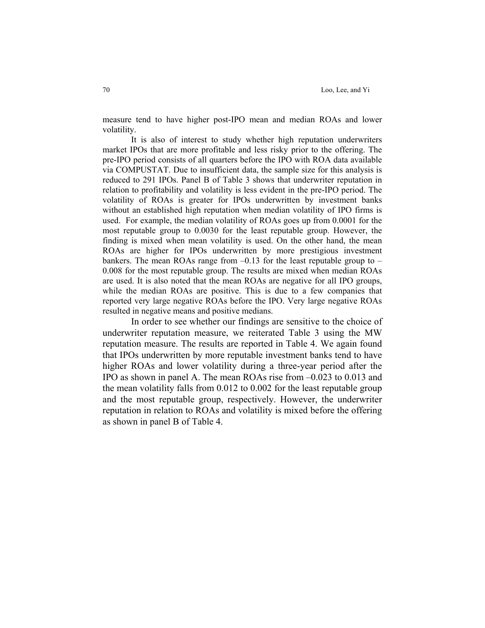measure tend to have higher post-IPO mean and median ROAs and lower volatility.

It is also of interest to study whether high reputation underwriters market IPOs that are more profitable and less risky prior to the offering. The pre-IPO period consists of all quarters before the IPO with ROA data available via COMPUSTAT. Due to insufficient data, the sample size for this analysis is reduced to 291 IPOs. Panel B of Table 3 shows that underwriter reputation in relation to profitability and volatility is less evident in the pre-IPO period. The volatility of ROAs is greater for IPOs underwritten by investment banks without an established high reputation when median volatility of IPO firms is used. For example, the median volatility of ROAs goes up from 0.0001 for the most reputable group to 0.0030 for the least reputable group. However, the finding is mixed when mean volatility is used. On the other hand, the mean ROAs are higher for IPOs underwritten by more prestigious investment bankers. The mean ROAs range from  $-0.13$  for the least reputable group to  $-$ 0.008 for the most reputable group. The results are mixed when median ROAs are used. It is also noted that the mean ROAs are negative for all IPO groups, while the median ROAs are positive. This is due to a few companies that reported very large negative ROAs before the IPO. Very large negative ROAs resulted in negative means and positive medians.

In order to see whether our findings are sensitive to the choice of underwriter reputation measure, we reiterated Table 3 using the MW reputation measure. The results are reported in Table 4. We again found that IPOs underwritten by more reputable investment banks tend to have higher ROAs and lower volatility during a three-year period after the IPO as shown in panel A. The mean ROAs rise from –0.023 to 0.013 and the mean volatility falls from 0.012 to 0.002 for the least reputable group and the most reputable group, respectively. However, the underwriter reputation in relation to ROAs and volatility is mixed before the offering as shown in panel B of Table 4.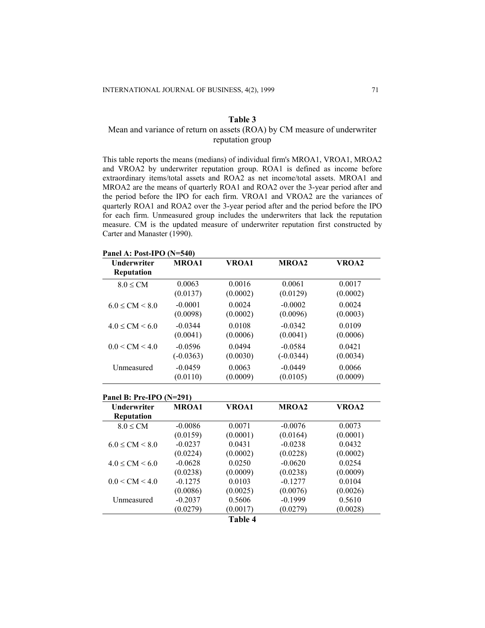# Mean and variance of return on assets (ROA) by CM measure of underwriter reputation group

This table reports the means (medians) of individual firm's MROA1, VROA1, MROA2 and VROA2 by underwriter reputation group. ROA1 is defined as income before extraordinary items/total assets and ROA2 as net income/total assets. MROA1 and MROA2 are the means of quarterly ROA1 and ROA2 over the 3-year period after and the period before the IPO for each firm. VROA1 and VROA2 are the variances of quarterly ROA1 and ROA2 over the 3-year period after and the period before the IPO for each firm. Unmeasured group includes the underwriters that lack the reputation measure. CM is the updated measure of underwriter reputation first constructed by Carter and Manaster (1990).

| Underwriter                                    | <b>MROA1</b> | VROA1    | <b>MROA2</b> | VROA2    |
|------------------------------------------------|--------------|----------|--------------|----------|
| Reputation                                     |              |          |              |          |
| $8.0 \leq CM$                                  | 0.0063       | 0.0016   | 0.0061       | 0.0017   |
|                                                | (0.0137)     | (0.0002) | (0.0129)     | (0.0002) |
| $6.0 \leq CM \leq 8.0$                         | $-0.0001$    | 0.0024   | $-0.0002$    | 0.0024   |
|                                                | (0.0098)     | (0.0002) | (0.0096)     | (0.0003) |
| $4.0 \leq CM \leq 6.0$                         | $-0.0344$    | 0.0108   | $-0.0342$    | 0.0109   |
|                                                | (0.0041)     | (0.0006) | (0.0041)     | (0.0006) |
| $0.0 \leq CM \leq 4.0$                         | $-0.0596$    | 0.0494   | $-0.0584$    | 0.0421   |
|                                                | $(-0.0363)$  | (0.0030) | $(-0.0344)$  | (0.0034) |
| Unmeasured                                     | $-0.0459$    | 0.0063   | $-0.0449$    | 0.0066   |
|                                                |              |          | (0.0105)     | (0.0009) |
|                                                | (0.0110)     | (0.0009) |              |          |
| Panel B: Pre-IPO (N=291)<br><b>Underwriter</b> | MROA1        | VROA1    | MROA2        | VROA2    |
| Reputation                                     |              |          |              |          |
| $8.0 \leq CM$                                  | $-0.0086$    | 0.0071   | $-0.0076$    | 0.0073   |
|                                                | (0.0159)     | (0.0001) | (0.0164)     | (0.0001) |
| $6.0 \leq CM \leq 8.0$                         | $-0.0237$    | 0.0431   | $-0.0238$    | 0.0432   |
|                                                | (0.0224)     | (0.0002) | (0.0228)     | (0.0002) |
| $4.0 \leq CM \leq 6.0$                         | $-0.0628$    | 0.0250   | $-0.0620$    | 0.0254   |
|                                                | (0.0238)     | (0.0009) | (0.0238)     | (0.0009) |
| $0.0 \leq CM \leq 4.0$                         | $-0.1275$    | 0.0103   | $-0.1277$    | 0.0104   |
|                                                | (0.0086)     | (0.0025) | (0.0076)     | (0.0026) |
| Unmeasured                                     | $-0.2037$    | 0.5606   | $-0.1999$    | 0.5610   |

**Panel A: Post-IPO (N=540)**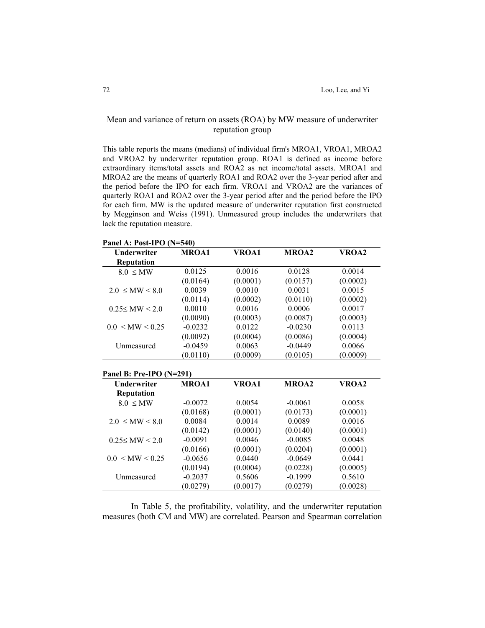# Mean and variance of return on assets (ROA) by MW measure of underwriter reputation group

This table reports the means (medians) of individual firm's MROA1, VROA1, MROA2 and VROA2 by underwriter reputation group. ROA1 is defined as income before extraordinary items/total assets and ROA2 as net income/total assets. MROA1 and MROA2 are the means of quarterly ROA1 and ROA2 over the 3-year period after and the period before the IPO for each firm. VROA1 and VROA2 are the variances of quarterly ROA1 and ROA2 over the 3-year period after and the period before the IPO for each firm. MW is the updated measure of underwriter reputation first constructed by Megginson and Weiss (1991). Unmeasured group includes the underwriters that lack the reputation measure.

**Panel A: Post-IPO (N=540)**

| <b>Underwriter</b>       | <b>MROA1</b> | <b>VROA1</b> | <b>MROA2</b> | VROA2    |
|--------------------------|--------------|--------------|--------------|----------|
| <b>Reputation</b>        |              |              |              |          |
| $8.0 \leq MW$            | 0.0125       | 0.0016       | 0.0128       | 0.0014   |
|                          | (0.0164)     | (0.0001)     | (0.0157)     | (0.0002) |
| $2.0 \leq M W \leq 8.0$  | 0.0039       | 0.0010       | 0.0031       | 0.0015   |
|                          | (0.0114)     | (0.0002)     | (0.0110)     | (0.0002) |
| $0.25 \leq M W \leq 2.0$ | 0.0010       | 0.0016       | 0.0006       | 0.0017   |
|                          | (0.0090)     | (0.0003)     | (0.0087)     | (0.0003) |
| $0.0 \leq M W \leq 0.25$ | $-0.0232$    | 0.0122       | $-0.0230$    | 0.0113   |
|                          | (0.0092)     | (0.0004)     | (0.0086)     | (0.0004) |
| Unmeasured               | $-0.0459$    | 0.0063       | $-0.0449$    | 0.0066   |
|                          | (0.0110)     | (0.0009)     | (0.0105)     | (0.0009) |
| Panel B: Pre-IPO (N=291) |              |              |              |          |
| Underwriter              | MROA1        | VROA1        | MROA2        | VROA2    |
| Reputation               |              |              |              |          |
| $8.0 \leq MW$            | $-0.0072$    | 0.0054       | $-0.0061$    | 0.0058   |
|                          | (0.0168)     | (0.0001)     | (0.0173)     | (0.0001) |
| $2.0 \leq M W \leq 8.0$  | 0.0084       | 0.0014       | 0.0089       | 0.0016   |
|                          | (0.0142)     | (0.0001)     | (0.0140)     | (0.0001) |
| $0.25 \leq M W \leq 2.0$ | $-0.0091$    | 0.0046       | $-0.0085$    | 0.0048   |
|                          | (0.0166)     | (0.0001)     | (0.0204)     | (0.0001) |
| $0.0 \leq M W \leq 0.25$ | $-0.0656$    | 0.0440       | $-0.0649$    | 0.0441   |
|                          | (0.0194)     | (0.0004)     | (0.0228)     | (0.0005) |
| Unmeasured               | $-0.2037$    | 0.5606       | $-0.1999$    | 0.5610   |
|                          | (0.0279)     | (0.0017)     | (0.0279)     | (0.0028) |

In Table 5, the profitability, volatility, and the underwriter reputation measures (both CM and MW) are correlated. Pearson and Spearman correlation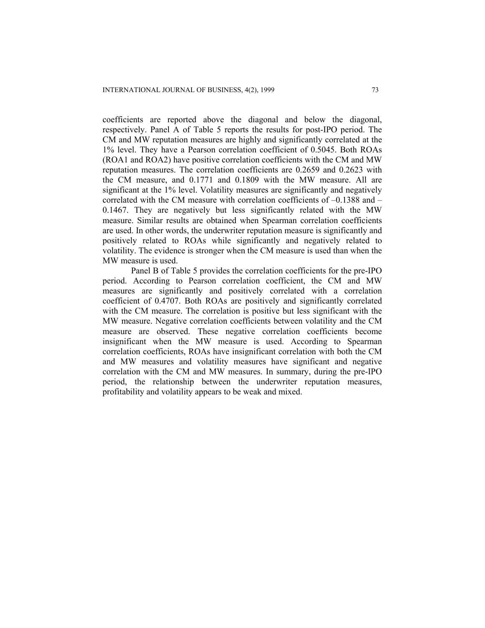coefficients are reported above the diagonal and below the diagonal, respectively. Panel A of Table 5 reports the results for post-IPO period. The CM and MW reputation measures are highly and significantly correlated at the 1% level. They have a Pearson correlation coefficient of 0.5045. Both ROAs (ROA1 and ROA2) have positive correlation coefficients with the CM and MW reputation measures. The correlation coefficients are 0.2659 and 0.2623 with the CM measure, and 0.1771 and 0.1809 with the MW measure. All are significant at the 1% level. Volatility measures are significantly and negatively correlated with the CM measure with correlation coefficients of  $-0.1388$  and  $-$ 0.1467. They are negatively but less significantly related with the MW measure. Similar results are obtained when Spearman correlation coefficients are used. In other words, the underwriter reputation measure is significantly and positively related to ROAs while significantly and negatively related to volatility. The evidence is stronger when the CM measure is used than when the MW measure is used.

Panel B of Table 5 provides the correlation coefficients for the pre-IPO period. According to Pearson correlation coefficient, the CM and MW measures are significantly and positively correlated with a correlation coefficient of 0.4707. Both ROAs are positively and significantly correlated with the CM measure. The correlation is positive but less significant with the MW measure. Negative correlation coefficients between volatility and the CM measure are observed. These negative correlation coefficients become insignificant when the MW measure is used. According to Spearman correlation coefficients, ROAs have insignificant correlation with both the CM and MW measures and volatility measures have significant and negative correlation with the CM and MW measures. In summary, during the pre-IPO period, the relationship between the underwriter reputation measures, profitability and volatility appears to be weak and mixed.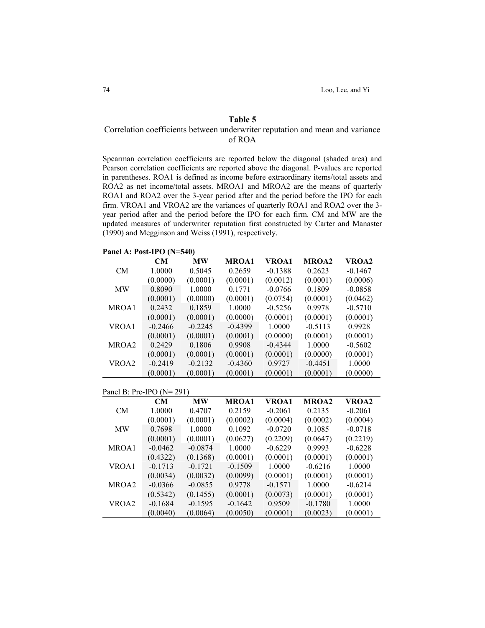# Correlation coefficients between underwriter reputation and mean and variance of ROA

Spearman correlation coefficients are reported below the diagonal (shaded area) and Pearson correlation coefficients are reported above the diagonal. P-values are reported in parentheses. ROA1 is defined as income before extraordinary items/total assets and ROA2 as net income/total assets. MROA1 and MROA2 are the means of quarterly ROA1 and ROA2 over the 3-year period after and the period before the IPO for each firm. VROA1 and VROA2 are the variances of quarterly ROA1 and ROA2 over the 3 year period after and the period before the IPO for each firm. CM and MW are the updated measures of underwriter reputation first constructed by Carter and Manaster (1990) and Megginson and Weiss (1991), respectively.

**Panel A: Post-IPO (N=540)**

|           | CM                           | <b>MW</b> | MROA1     | VROA1     | MROA2        | VROA2     |
|-----------|------------------------------|-----------|-----------|-----------|--------------|-----------|
| CM        | 1.0000                       | 0.5045    | 0.2659    | $-0.1388$ | 0.2623       | $-0.1467$ |
|           | (0.0000)                     | (0.0001)  | (0.0001)  | (0.0012)  | (0.0001)     | (0.0006)  |
| <b>MW</b> | 0.8090                       | 1.0000    | 0.1771    | $-0.0766$ | 0.1809       | $-0.0858$ |
|           | (0.0001)                     | (0.0000)  | (0.0001)  | (0.0754)  | (0.0001)     | (0.0462)  |
| MROA1     | 0.2432                       | 0.1859    | 1.0000    | $-0.5256$ | 0.9978       | $-0.5710$ |
|           | (0.0001)                     | (0.0001)  | (0.0000)  | (0.0001)  | (0.0001)     | (0.0001)  |
| VROA1     | $-0.2466$                    | $-0.2245$ | $-0.4399$ | 1.0000    | $-0.5113$    | 0.9928    |
|           | (0.0001)                     | (0.0001)  | (0.0001)  | (0.0000)  | (0.0001)     | (0.0001)  |
| MROA2     | 0.2429                       | 0.1806    | 0.9908    | $-0.4344$ | 1.0000       | $-0.5602$ |
|           | (0.0001)                     | (0.0001)  | (0.0001)  | (0.0001)  | (0.0000)     | (0.0001)  |
| VROA2     | $-0.2419$                    | $-0.2132$ | $-0.4360$ | 0.9727    | $-0.4451$    | 1.0000    |
|           | (0.0001)                     | (0.0001)  | (0.0001)  | (0.0001)  | (0.0001)     | (0.0000)  |
|           |                              |           |           |           |              |           |
|           | Panel B: Pre-IPO ( $N=291$ ) |           |           |           |              |           |
|           | CM                           | <b>MW</b> | MROA1     | VROA1     | <b>MROA2</b> | VROA2     |
| <b>CM</b> | 1.0000                       | 0.4707    | 0.2159    | $-0.2061$ | 0.2135       | $-0.2061$ |
|           | (0.0001)                     | (0.0001)  | (0.0002)  | (0.0004)  | (0.0002)     | (0.0004)  |
| <b>MW</b> | 0.7698                       | 1.0000    | 0.1092    | $-0.0720$ | 0.1085       | $-0.0718$ |
|           | (0.0001)                     | (0.0001)  | (0.0627)  | (0.2209)  | (0.0647)     | (0.2219)  |
| MROA1     | $-0.0462$                    | $-0.0874$ | 1.0000    | $-0.6229$ | 0.9993       | $-0.6228$ |
|           | (0.4322)                     | (0.1368)  | (0.0001)  | (0.0001)  | (0.0001)     | (0.0001)  |
| VROA1     | $-0.1713$                    | $-0.1721$ | $-0.1509$ | 1.0000    | $-0.6216$    | 1.0000    |
|           | (0.0034)                     | (0.0032)  | (0.0099)  | (0.0001)  | (0.0001)     | (0.0001)  |
| MROA2     | $-0.0366$                    | $-0.0855$ | 0.9778    | $-0.1571$ | 1.0000       | $-0.6214$ |
|           | (0.5342)                     | (0.1455)  | (0.0001)  | (0.0073)  | (0.0001)     | (0.0001)  |
| VROA2     | $-0.1684$                    | $-0.1595$ | $-0.1642$ | 0.9509    | $-0.1780$    | 1.0000    |
|           | (0.0040)                     | (0.0064)  | (0.0050)  | (0.0001)  | (0.0023)     | (0.0001)  |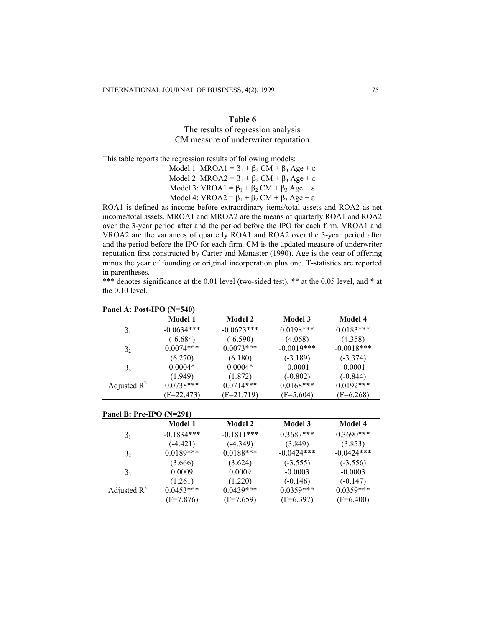The results of regression analysis CM measure of underwriter reputation

This table reports the regression results of following models:

Model 1: MROA1 =  $\beta_1 + \beta_2$  CM +  $\beta_3$  Age +  $\varepsilon$ Model 2: MROA2 =  $\beta_1 + \beta_2$  CM +  $\beta_3$  Age + ε Model 3: VROA1 =  $\beta_1 + \beta_2$  CM +  $\beta_3$  Age +  $\varepsilon$ Model 4: VROA2 =  $\beta_1 + \beta_2$  CM +  $\beta_3$  Age +  $\varepsilon$ 

ROA1 is defined as income before extraordinary items/total assets and ROA2 as net income/total assets. MROA1 and MROA2 are the means of quarterly ROA1 and ROA2 over the 3-year period after and the period before the IPO for each firm. VROA1 and VROA2 are the variances of quarterly ROA1 and ROA2 over the 3-year period after and the period before the IPO for each firm. CM is the updated measure of underwriter reputation first constructed by Carter and Manaster (1990). Age is the year of offering minus the year of founding or original incorporation plus one. T-statistics are reported in parentheses.

\*\*\* denotes significance at the 0.01 level (two-sided test), \*\* at the 0.05 level, and \* at the 0.10 level.

|                | Model 1      | <b>Model 2</b> | <b>Model 3</b> | <b>Model 4</b> |
|----------------|--------------|----------------|----------------|----------------|
| $\beta_1$      | $-0.0634***$ | $-0.0623***$   | $0.0198***$    | $0.0183***$    |
|                | $(-6.684)$   | $(-6.590)$     | (4.068)        | (4.358)        |
| $\beta_2$      | $0.0074***$  | $0.0073***$    | $-0.0019***$   | $-0.0018***$   |
|                | (6.270)      | (6.180)        | $(-3.189)$     | $(-3.374)$     |
| $\beta_3$      | $0.0004*$    | $0.0004*$      | $-0.0001$      | $-0.0001$      |
|                | (1.949)      | (1.872)        | $(-0.802)$     | $(-0.844)$     |
| Adjusted $R^2$ | $0.0738***$  | $0.0714***$    | $0.0168***$    | $0.0192***$    |
|                | $(F=22.473)$ | $(F=21.719)$   | $(F=5.604)$    | $(F=6.268)$    |

### **Panel A: Post-IPO (N=540)**

| Panel B: Pre-IPO $(N=291)$ |                |                |              |              |  |  |
|----------------------------|----------------|----------------|--------------|--------------|--|--|
|                            | <b>Model 1</b> | <b>Model 2</b> | Model 3      | Model 4      |  |  |
| $\beta_1$                  | $-0.1834***$   | $-0.1811***$   | $0.3687***$  | $0.3690***$  |  |  |
|                            | $(-4.421)$     | $(-4.349)$     | (3.849)      | (3.853)      |  |  |
| $\beta_2$                  | $0.0189***$    | $0.0188***$    | $-0.0424***$ | $-0.0424***$ |  |  |
|                            | (3.666)        | (3.624)        | $(-3.555)$   | $(-3.556)$   |  |  |
| $\beta_3$                  | 0.0009         | 0.0009         | $-0.0003$    | $-0.0003$    |  |  |
|                            | (1.261)        | (1.220)        | $(-0.146)$   | $(-0.147)$   |  |  |
| Adjusted $R^2$             | $0.0453***$    | $0.0439***$    | $0.0359***$  | $0.0359***$  |  |  |
|                            | $(F=7.876)$    | $(F=7.659)$    | $(F=6.397)$  | $(F=6.400)$  |  |  |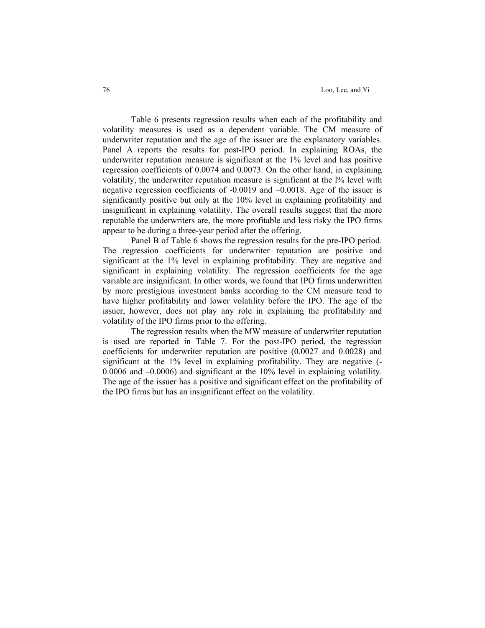Table 6 presents regression results when each of the profitability and volatility measures is used as a dependent variable. The CM measure of underwriter reputation and the age of the issuer are the explanatory variables. Panel A reports the results for post-IPO period. In explaining ROAs, the underwriter reputation measure is significant at the 1% level and has positive regression coefficients of 0.0074 and 0.0073. On the other hand, in explaining volatility, the underwriter reputation measure is significant at the  $\frac{1}{6}$  level with negative regression coefficients of -0.0019 and –0.0018. Age of the issuer is significantly positive but only at the 10% level in explaining profitability and insignificant in explaining volatility. The overall results suggest that the more reputable the underwriters are, the more profitable and less risky the IPO firms appear to be during a three-year period after the offering.

Panel B of Table 6 shows the regression results for the pre-IPO period. The regression coefficients for underwriter reputation are positive and significant at the 1% level in explaining profitability. They are negative and significant in explaining volatility. The regression coefficients for the age variable are insignificant. In other words, we found that IPO firms underwritten by more prestigious investment banks according to the CM measure tend to have higher profitability and lower volatility before the IPO. The age of the issuer, however, does not play any role in explaining the profitability and volatility of the IPO firms prior to the offering.

The regression results when the MW measure of underwriter reputation is used are reported in Table 7. For the post-IPO period, the regression coefficients for underwriter reputation are positive (0.0027 and 0.0028) and significant at the 1% level in explaining profitability. They are negative  $($ -0.0006 and –0.0006) and significant at the 10% level in explaining volatility. The age of the issuer has a positive and significant effect on the profitability of the IPO firms but has an insignificant effect on the volatility.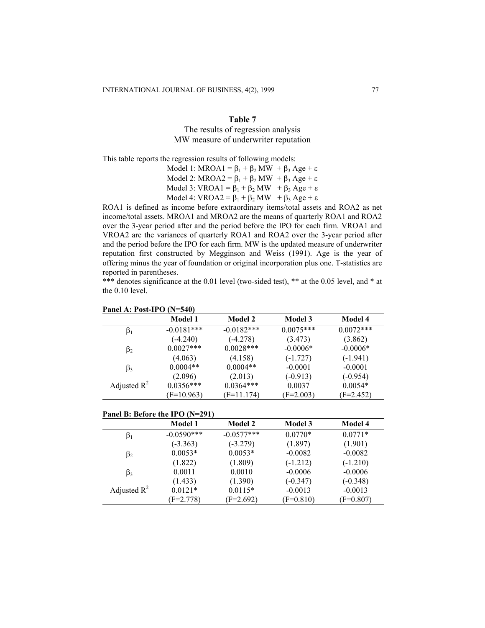## The results of regression analysis MW measure of underwriter reputation

This table reports the regression results of following models:

Model 1: MROA1 =  $\beta_1 + \beta_2$  MW +  $\beta_3$  Age +  $\varepsilon$ Model 2: MROA2 =  $\beta_1 + \beta_2$  MW +  $\beta_3$  Age +  $\varepsilon$ Model 3: VROA1 =  $\beta_1 + \beta_2$  MW  $+ \beta_3$  Age + ε Model 4: VROA2 =  $\beta_1 + \beta_2$  MW  $+ \beta_3$  Age + ε

ROA1 is defined as income before extraordinary items/total assets and ROA2 as net income/total assets. MROA1 and MROA2 are the means of quarterly ROA1 and ROA2 over the 3-year period after and the period before the IPO for each firm. VROA1 and VROA2 are the variances of quarterly ROA1 and ROA2 over the 3-year period after and the period before the IPO for each firm. MW is the updated measure of underwriter reputation first constructed by Megginson and Weiss (1991). Age is the year of offering minus the year of foundation or original incorporation plus one. T-statistics are reported in parentheses.

\*\*\* denotes significance at the 0.01 level (two-sided test), \*\* at the 0.05 level, and \* at the 0.10 level.

|                | <b>Model 1</b> | <b>Model 2</b> | <b>Model 3</b> | Model 4     |
|----------------|----------------|----------------|----------------|-------------|
| $\beta_1$      | $-0.0181***$   | $-0.0182***$   | $0.0075***$    | $0.0072***$ |
|                | $(-4.240)$     | $(-4.278)$     | (3.473)        | (3.862)     |
| $\beta_2$      | $0.0027***$    | $0.0028***$    | $-0.0006*$     | $-0.0006*$  |
|                | (4.063)        | (4.158)        | $(-1.727)$     | $(-1.941)$  |
| $\beta_3$      | $0.0004**$     | $0.0004**$     | $-0.0001$      | $-0.0001$   |
|                | (2.096)        | (2.013)        | $(-0.913)$     | $(-0.954)$  |
| Adjusted $R^2$ | $0.0356***$    | $0.0364***$    | 0.0037         | $0.0054*$   |
|                | $(F=10.963)$   | $(F=11.174)$   | $(F=2.003)$    | $(F=2.452)$ |

#### **Panel A: Post-IPO (N=540)**

#### **Panel B: Before the IPO (N=291)**

|                | <b>Model 1</b> | <b>Model 2</b> | <b>Model 3</b> | <b>Model 4</b> |
|----------------|----------------|----------------|----------------|----------------|
| $\beta_1$      | $-0.0590***$   | $-0.0577***$   | $0.0770*$      | $0.0771*$      |
|                | $(-3.363)$     | $(-3.279)$     | (1.897)        | (1.901)        |
| $\beta_2$      | $0.0053*$      | $0.0053*$      | $-0.0082$      | $-0.0082$      |
|                | (1.822)        | (1.809)        | $(-1.212)$     | $(-1.210)$     |
| $\beta_3$      | 0.0011         | 0.0010         | $-0.0006$      | $-0.0006$      |
|                | (1.433)        | (1.390)        | $(-0.347)$     | $(-0.348)$     |
| Adjusted $R^2$ | $0.0121*$      | $0.0115*$      | $-0.0013$      | $-0.0013$      |
|                | $F = 2.778$    | $(F=2.692)$    | $(F=0.810)$    | $(F=0.807)$    |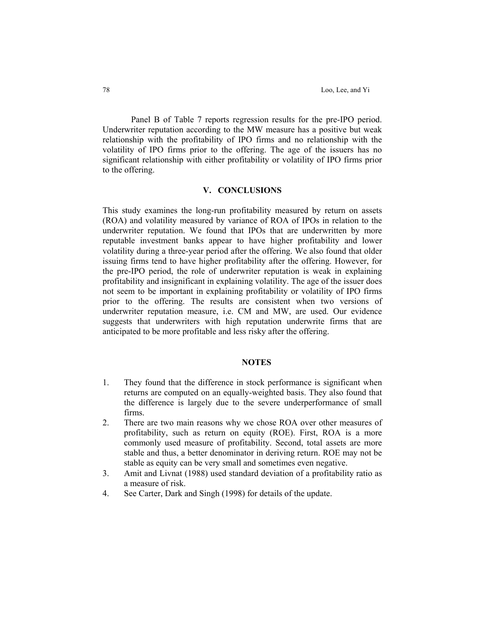Panel B of Table 7 reports regression results for the pre-IPO period. Underwriter reputation according to the MW measure has a positive but weak relationship with the profitability of IPO firms and no relationship with the volatility of IPO firms prior to the offering. The age of the issuers has no significant relationship with either profitability or volatility of IPO firms prior to the offering.

#### **V. CONCLUSIONS**

This study examines the long-run profitability measured by return on assets (ROA) and volatility measured by variance of ROA of IPOs in relation to the underwriter reputation. We found that IPOs that are underwritten by more reputable investment banks appear to have higher profitability and lower volatility during a three-year period after the offering. We also found that older issuing firms tend to have higher profitability after the offering. However, for the pre-IPO period, the role of underwriter reputation is weak in explaining profitability and insignificant in explaining volatility. The age of the issuer does not seem to be important in explaining profitability or volatility of IPO firms prior to the offering. The results are consistent when two versions of underwriter reputation measure, i.e. CM and MW, are used. Our evidence suggests that underwriters with high reputation underwrite firms that are anticipated to be more profitable and less risky after the offering.

## **NOTES**

- 1. They found that the difference in stock performance is significant when returns are computed on an equally-weighted basis. They also found that the difference is largely due to the severe underperformance of small firms.
- 2. There are two main reasons why we chose ROA over other measures of profitability, such as return on equity (ROE). First, ROA is a more commonly used measure of profitability. Second, total assets are more stable and thus, a better denominator in deriving return. ROE may not be stable as equity can be very small and sometimes even negative.
- 3. Amit and Livnat (1988) used standard deviation of a profitability ratio as a measure of risk.
- 4. See Carter, Dark and Singh (1998) for details of the update.